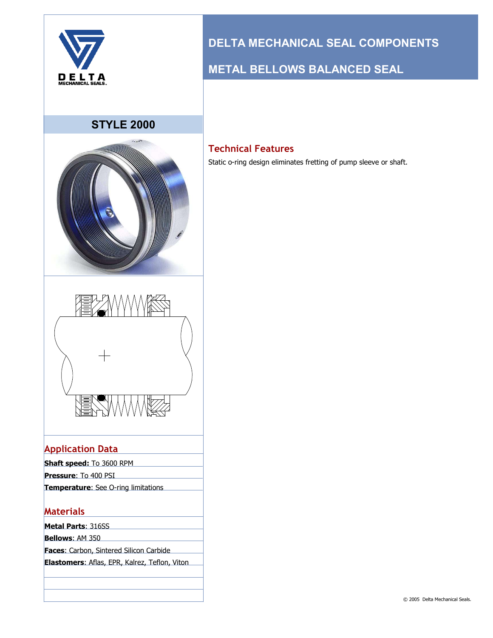

### **STYLE 2000**





### **Application Data**

| <b>Shaft speed:</b> To 3600 RPM             |  |
|---------------------------------------------|--|
| <b>Pressure: To 400 PSI</b>                 |  |
| <b>Temperature</b> : See O-ring limitations |  |
|                                             |  |

#### **Materials**

**Metal Parts**: 316SS

**Bellows**: AM 350

**Faces**: Carbon, Sintered Silicon Carbide

**Elastomers**: Aflas, EPR, Kalrez, Teflon, Viton

# **DELTA MECHANICAL SEAL COMPONENTS**

## **METAL BELLOWS BALANCED SEAL**

### **Technical Features**

Static o-ring design eliminates fretting of pump sleeve or shaft.